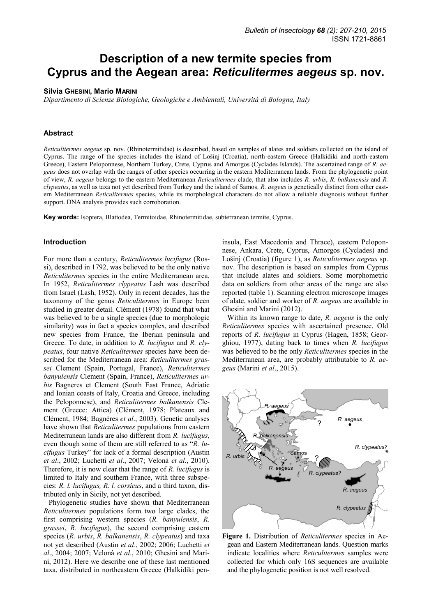# **Description of a new termite species from Cyprus and the Aegean area:** *Reticulitermes aegeus* **sp. nov.**

## **Silvia GHESINI, Mario MARINI**

*Dipartimento di Scienze Biologiche, Geologiche e Ambientali, Università di Bologna, Italy* 

# **Abstract**

*Reticulitermes aegeus* sp. nov. (Rhinotermitidae) is described, based on samples of alates and soldiers collected on the island of Cyprus. The range of the species includes the island of Lošinj (Croatia), north-eastern Greece (Halkidiki and north-eastern Greece), Eastern Peloponnese, Northern Turkey, Crete, Cyprus and Amorgos (Cyclades Islands). The ascertained range of *R. aegeus* does not overlap with the ranges of other species occurring in the eastern Mediterranean lands. From the phylogenetic point of view, *R. aegeus* belongs to the eastern Mediterranean *Reticulitermes* clade, that also includes *R. urbis*, *R. balkanensis* and *R. clypeatus*, as well as taxa not yet described from Turkey and the island of Samos. *R. aegeus* is genetically distinct from other eastern Mediterranean *Reticulitermes* species, while its morphological characters do not allow a reliable diagnosis without further support. DNA analysis provides such corroboration.

**Key words:** Isoptera, Blattodea, Termitoidae, Rhinotermitidae, subterranean termite, Cyprus.

#### **Introduction**

For more than a century, *Reticulitermes lucifugus* (Rossi), described in 1792, was believed to be the only native *Reticulitermes* species in the entire Mediterranean area. In 1952, *Reticulitermes clypeatus* Lash was described from Israel (Lash, 1952). Only in recent decades, has the taxonomy of the genus *Reticulitermes* in Europe been studied in greater detail. Clément (1978) found that what was believed to be a single species (due to morphologic similarity) was in fact a species complex, and described new species from France, the Iberian peninsula and Greece. To date, in addition to *R. lucifugus* and *R. clypeatus*, four native *Reticulitermes* species have been described for the Mediterranean area: *Reticulitermes grassei* Clement (Spain, Portugal, France), *Reticulitermes banyulensis* Clement (Spain, France), *Reticulitermes urbis* Bagneres et Clement (South East France, Adriatic and Ionian coasts of Italy, Croatia and Greece, including the Peloponnese), and *Reticulitermes balkanensis* Clement (Greece: Attica) (Clément, 1978; Plateaux and Clément, 1984; Bagnères *et al*., 2003). Genetic analyses have shown that *Reticulitermes* populations from eastern Mediterranean lands are also different from *R. lucifugus*, even though some of them are still referred to as "*R. lucifugus* Turkey" for lack of a formal description (Austin *et al*., 2002; Luchetti *et al*., 2007; Velonà *et al*., 2010). Therefore, it is now clear that the range of *R. lucifugus* is limited to Italy and southern France, with three subspecies: *R. l. lucifugus, R. l. corsicus*, and a third taxon, distributed only in Sicily, not yet described.

Phylogenetic studies have shown that Mediterranean *Reticulitermes* populations form two large clades, the first comprising western species (*R. banyulensis*, *R. grassei*, *R. lucifugus*), the second comprising eastern species (*R. urbis*, *R. balkanensis*, *R. clypeatus*) and taxa not yet described (Austin *et al*., 2002; 2006; Luchetti *et al*., 2004; 2007; Velonà *et al*., 2010; Ghesini and Marini, 2012). Here we describe one of these last mentioned taxa, distributed in northeastern Greece (Halkidiki pen-

insula, East Macedonia and Thrace), eastern Peloponnese, Ankara, Crete, Cyprus, Amorgos (Cyclades) and Lošinj (Croatia) (figure 1), as *Reticulitermes aegeus* sp. nov. The description is based on samples from Cyprus that include alates and soldiers. Some morphometric data on soldiers from other areas of the range are also reported (table 1). Scanning electron microscope images of alate, soldier and worker of *R. aegeus* are available in Ghesini and Marini (2012).

Within its known range to date, *R. aegeus* is the only *Reticulitermes* species with ascertained presence. Old reports of *R. lucifugus* in Cyprus (Hagen, 1858; Georghiou, 1977), dating back to times when *R. lucifugus* was believed to be the only *Reticulitermes* species in the Mediterranean area, are probably attributable to *R. aegeus* (Marini *et al*., 2015).



**Figure 1.** Distribution of *Reticulitermes* species in Aegean and Eastern Mediterranean lands. Question marks indicate localities where *Reticulitermes* samples were collected for which only 16S sequences are available and the phylogenetic position is not well resolved.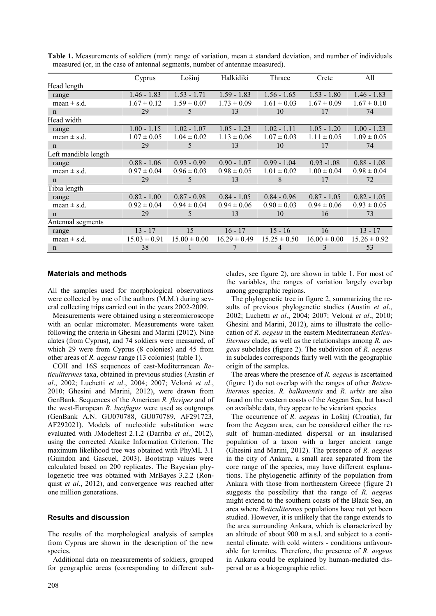|                      | Cyprus           | Lošinj           | Halkidiki        | Thrace           | Crete            | All              |
|----------------------|------------------|------------------|------------------|------------------|------------------|------------------|
| Head length          |                  |                  |                  |                  |                  |                  |
| range                | $1.46 - 1.83$    | $1.53 - 1.71$    | $1.59 - 1.83$    | $1.56 - 1.65$    | $1.53 - 1.80$    | $1.46 - 1.83$    |
| mean $\pm$ s.d.      | $1.67 \pm 0.12$  | $1.59 \pm 0.07$  | $1.73 \pm 0.09$  | $1.61 \pm 0.03$  | $1.67 \pm 0.09$  | $1.67 \pm 0.10$  |
| n                    | 29               | 5                | 13               | 10               | 17               | 74               |
| Head width           |                  |                  |                  |                  |                  |                  |
| range                | $1.00 - 1.15$    | $1.02 - 1.07$    | $1.05 - 1.23$    | $1.02 - 1.11$    | $1.05 - 1.20$    | $1.00 - 1.23$    |
| mean $\pm$ s.d.      | $1.07 \pm 0.05$  | $1.04 \pm 0.02$  | $1.13 \pm 0.06$  | $1.07 \pm 0.03$  | $1.11 \pm 0.05$  | $1.09 \pm 0.05$  |
| n                    | 29               | 5                | 13               | 10               | 17               | 74               |
| Left mandible length |                  |                  |                  |                  |                  |                  |
| range                | $0.88 - 1.06$    | $0.93 - 0.99$    | $0.90 - 1.07$    | $0.99 - 1.04$    | $0.93 - 1.08$    | $0.88 - 1.08$    |
| mean $\pm$ s.d.      | $0.97 \pm 0.04$  | $0.96 \pm 0.03$  | $0.98 \pm 0.05$  | $1.01 \pm 0.02$  | $1.00 \pm 0.04$  | $0.98 \pm 0.04$  |
| $\mathbf n$          | 29               | 5.               | 13               | 8                | 17               | 72               |
| Tibia length         |                  |                  |                  |                  |                  |                  |
| range                | $0.82 - 1.00$    | $0.87 - 0.98$    | $0.84 - 1.05$    | $0.84 - 0.96$    | $0.87 - 1.05$    | $0.82 - 1.05$    |
| mean $\pm$ s.d.      | $0.92 \pm 0.04$  | $0.94 \pm 0.04$  | $0.94 \pm 0.06$  | $0.90 \pm 0.03$  | $0.94 \pm 0.06$  | $0.93 \pm 0.05$  |
| $\mathbf n$          | 29               | 5                | 13               | 10               | 16               | 73               |
| Antennal segments    |                  |                  |                  |                  |                  |                  |
| range                | $13 - 17$        | 15               | $16 - 17$        | $15 - 16$        | 16               | $13 - 17$        |
| mean $\pm$ s.d.      | $15.03 \pm 0.91$ | $15.00 \pm 0.00$ | $16.29 \pm 0.49$ | $15.25 \pm 0.50$ | $16.00 \pm 0.00$ | $15.26 \pm 0.92$ |
| n                    | 38               |                  |                  | 4                | 3                | 53               |

**Table 1.** Measurements of soldiers (mm): range of variation, mean  $\pm$  standard deviation, and number of individuals measured (or, in the case of antennal segments, number of antennae measured).

# **Materials and methods**

All the samples used for morphological observations were collected by one of the authors (M.M.) during several collecting trips carried out in the years 2002-2009.

Measurements were obtained using a stereomicroscope with an ocular micrometer. Measurements were taken following the criteria in Ghesini and Marini (2012). Nine alates (from Cyprus), and 74 soldiers were measured, of which 29 were from Cyprus (8 colonies) and 45 from other areas of *R. aegeus* range (13 colonies) (table 1).

COII and 16S sequences of east-Mediterranean *Reticulitermes* taxa, obtained in previous studies (Austin *et al*., 2002; Luchetti *et al*., 2004; 2007; Velonà *et al*., 2010; Ghesini and Marini, 2012), were drawn from GenBank. Sequences of the American *R. flavipes* and of the west-European *R. lucifugus* were used as outgroups (GenBank A.N. GU070788, GU070789, AF291723, AF292021). Models of nucleotide substitution were evaluated with JModeltest 2.1.2 (Darriba *et al*., 2012), using the corrected Akaike Information Criterion. The maximum likelihood tree was obtained with PhyML 3.1 (Guindon and Gascuel, 2003). Bootstrap values were calculated based on 200 replicates. The Bayesian phylogenetic tree was obtained with MrBayes 3.2.2 (Ronquist *et al*., 2012), and convergence was reached after one million generations.

# **Results and discussion**

The results of the morphological analysis of samples from Cyprus are shown in the description of the new species.

Additional data on measurements of soldiers, grouped for geographic areas (corresponding to different subclades, see figure 2), are shown in table 1. For most of the variables, the ranges of variation largely overlap among geographic regions.

The phylogenetic tree in figure 2, summarizing the results of previous phylogenetic studies (Austin *et al*., 2002; Luchetti *et al*., 2004; 2007; Velonà *et al*., 2010; Ghesini and Marini, 2012), aims to illustrate the collocation of *R. aegeus* in the eastern Mediterranean *Reticulitermes* clade, as well as the relationships among *R. aegeus* subclades (figure 2). The subdivision of *R. aegeus* in subclades corresponds fairly well with the geographic origin of the samples.

The areas where the presence of *R. aegeus* is ascertained (figure 1) do not overlap with the ranges of other *Reticulitermes* species. *R. balkanensis* and *R. urbis* are also found on the western coasts of the Aegean Sea, but based on available data, they appear to be vicariant species.

The occurrence of *R. aegeus* in Lošinj (Croatia), far from the Aegean area, can be considered either the result of human-mediated dispersal or an insularised population of a taxon with a larger ancient range (Ghesini and Marini, 2012). The presence of *R. aegeus* in the city of Ankara, a small area separated from the core range of the species, may have different explanations. The phylogenetic affinity of the population from Ankara with those from northeastern Greece (figure 2) suggests the possibility that the range of *R. aegeus* might extend to the southern coasts of the Black Sea, an area where *Reticulitermes* populations have not yet been studied. However, it is unlikely that the range extends to the area surrounding Ankara, which is characterized by an altitude of about 900 m a.s.l. and subject to a continental climate, with cold winters - conditions unfavourable for termites. Therefore, the presence of *R. aegeus* in Ankara could be explained by human-mediated dispersal or as a biogeographic relict.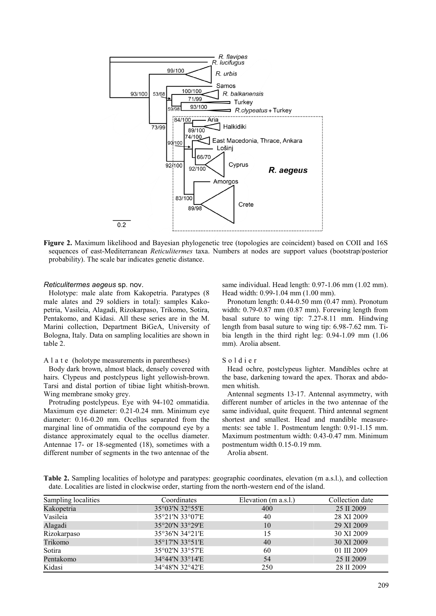

**Figure 2.** Maximum likelihood and Bayesian phylogenetic tree (topologies are coincident) based on COII and 16S sequences of east-Mediterranean *Reticulitermes* taxa. Numbers at nodes are support values (bootstrap/posterior probability). The scale bar indicates genetic distance.

#### *Reticulitermes aegeus* sp. nov.

Holotype: male alate from Kakopetria. Paratypes (8 male alates and 29 soldiers in total): samples Kakopetria, Vasileia, Alagadi, Rizokarpaso, Trikomo, Sotira, Pentakomo, and Kidasi. All these series are in the M. Marini collection, Department BiGeA, University of Bologna, Italy. Data on sampling localities are shown in table 2.

## A l a t e (holotype measurements in parentheses)

Body dark brown, almost black, densely covered with hairs. Clypeus and postclypeus light yellowish-brown. Tarsi and distal portion of tibiae light whitish-brown. Wing membrane smoky grey.

Protruding postclypeus. Eye with 94-102 ommatidia. Maximum eye diameter: 0.21-0.24 mm. Minimum eye diameter: 0.16-0.20 mm. Ocellus separated from the marginal line of ommatidia of the compound eye by a distance approximately equal to the ocellus diameter. Antennae 17- or 18-segmented (18), sometimes with a different number of segments in the two antennae of the same individual. Head length: 0.97-1.06 mm (1.02 mm). Head width: 0.99-1.04 mm (1.00 mm).

Pronotum length: 0.44-0.50 mm (0.47 mm). Pronotum width: 0.79-0.87 mm (0.87 mm). Forewing length from basal suture to wing tip: 7.27-8.11 mm. Hindwing length from basal suture to wing tip: 6.98-7.62 mm. Tibia length in the third right leg: 0.94-1.09 mm (1.06 mm). Arolia absent.

#### S o l d i e r

Head ochre, postclypeus lighter. Mandibles ochre at the base, darkening toward the apex. Thorax and abdomen whitish.

Antennal segments 13-17. Antennal asymmetry, with different number of articles in the two antennae of the same individual, quite frequent. Third antennal segment shortest and smallest. Head and mandible measurements: see table 1. Postmentum length: 0.91-1.15 mm. Maximum postmentum width: 0.43-0.47 mm. Minimum postmentum width 0.15-0.19 mm.

Arolia absent.

**Table 2.** Sampling localities of holotype and paratypes: geographic coordinates, elevation (m a.s.l.), and collection date. Localities are listed in clockwise order, starting from the north-western end of the island.

| Sampling localities | Coordinates     | Elevation (m a.s.l.) | Collection date |
|---------------------|-----------------|----------------------|-----------------|
| Kakopetria          | 35°03'N 32°55'E | 400                  | 25 II 2009      |
| Vasileia            | 35°21'N 33°07'E | 40                   | 28 XI 2009      |
| Alagadi             | 35°20'N 33°29'E | 10                   | 29 XI 2009      |
| Rizokarpaso         | 35°36'N 34°21'E | 15                   | 30 XI 2009      |
| Trikomo             | 35°17'N 33°51'E | 40                   | 30 XI 2009      |
| Sotira              | 35°02'N 33°57'E | 60                   | 01 III 2009     |
| Pentakomo           | 34°44'N 33°14'E | 54                   | 25 II 2009      |
| Kidasi              | 34°48'N 32°42'E | 250                  | 28 II 2009      |